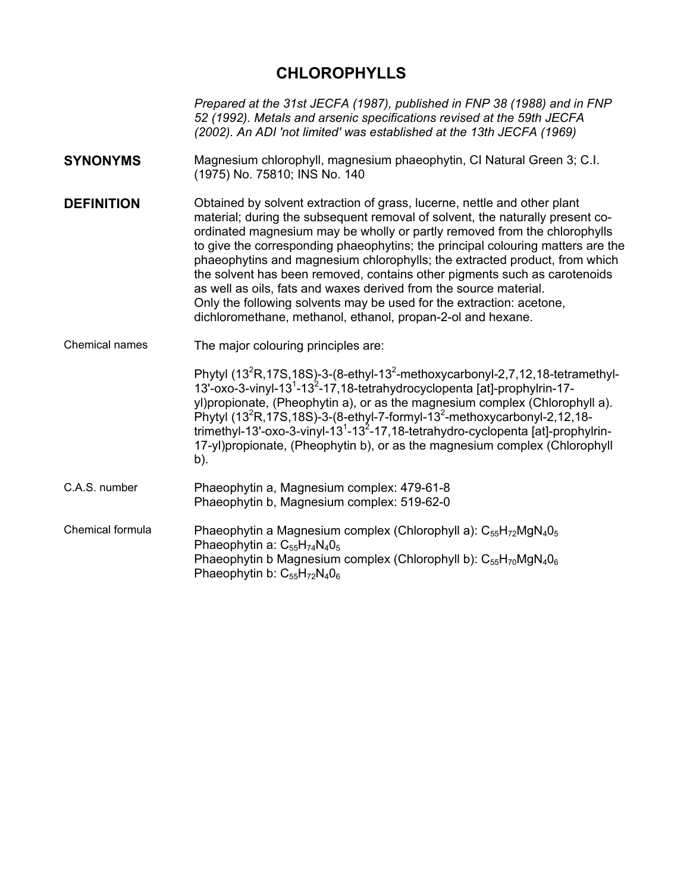# **CHLOROPHYLLS**

*Prepared at the 31st JECFA (1987), published in FNP 38 (1988) and in FNP 52 (1992). Metals and arsenic specifications revised at the 59th JECFA (2002). An ADI 'not limited' was established at the 13th JECFA (1969)* 

- **SYNONYMS** Magnesium chlorophyll, magnesium phaeophytin, CI Natural Green 3; C.I. (1975) No. 75810; INS No. 140
- **DEFINITION Contained by solvent extraction of grass, lucerne, nettle and other plant** material; during the subsequent removal of solvent, the naturally present coordinated magnesium may be wholly or partly removed from the chlorophylls to give the corresponding phaeophytins; the principal colouring matters are the phaeophytins and magnesium chlorophylls; the extracted product, from which the solvent has been removed, contains other pigments such as carotenoids as well as oils, fats and waxes derived from the source material. Only the following solvents may be used for the extraction: acetone, dichloromethane, methanol, ethanol, propan-2-ol and hexane.
- Chemical names The major colouring principles are:

| 13'-oxo-3-vinyl-13 <sup>1</sup> -13 <sup>2</sup> -17,18-tetrahydrocyclopenta [at]-prophylrin-17-         |  |
|----------------------------------------------------------------------------------------------------------|--|
| yl) propionate, (Pheophytin a), or as the magnesium complex (Chlorophyll a).                             |  |
| Phytyl (13 <sup>2</sup> R, 17S, 18S)-3-(8-ethyl-7-formyl-13 <sup>2</sup> -methoxycarbonyl-2, 12, 18-     |  |
| trimethyl-13'-oxo-3-vinyl-13 <sup>1</sup> -13 <sup>2</sup> -17,18-tetrahydro-cyclopenta [at]-prophylrin- |  |
| 17-yl)propionate, (Pheophytin b), or as the magnesium complex (Chlorophyll                               |  |
| b).                                                                                                      |  |
|                                                                                                          |  |

- C.A.S. number Phaeophytin a, Magnesium complex: 479-61-8 Phaeophytin b, Magnesium complex: 519-62-0
- Chemical formula Phaeophytin a Magnesium complex (Chlorophyll a):  $C_{55}H_{72}MgN_4O_5$ Phaeophytin a:  $C_{55}H_{74}N_4O_5$ Phaeophytin b Magnesium complex (Chlorophyll b):  $C_{55}H_{70}MgN_4O_6$ Phaeophytin b:  $C_{55}H_{72}N_40_6$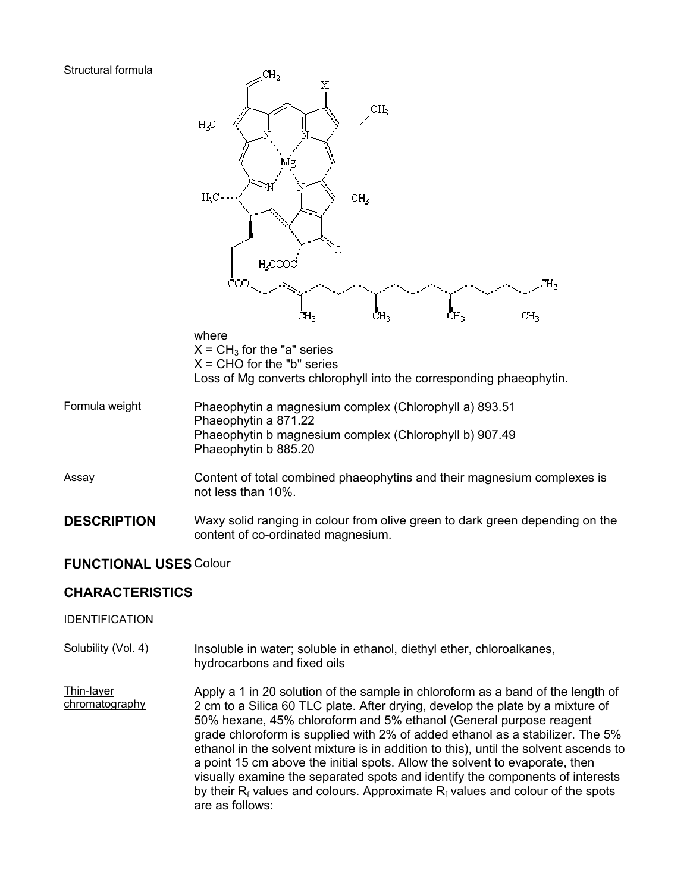#### Structural formula



### **FUNCTIONAL USES** Colour

## **CHARACTERISTICS**

#### IDENTIFICATION

Solubility (Vol. 4) Insoluble in water; soluble in ethanol, diethyl ether, chloroalkanes, hydrocarbons and fixed oils

content of co-ordinated magnesium.

Thin-layer chromatography Apply a 1 in 20 solution of the sample in chloroform as a band of the length of 2 cm to a Silica 60 TLC plate. After drying, develop the plate by a mixture of 50% hexane, 45% chloroform and 5% ethanol (General purpose reagent grade chloroform is supplied with 2% of added ethanol as a stabilizer. The 5% ethanol in the solvent mixture is in addition to this), until the solvent ascends to a point 15 cm above the initial spots. Allow the solvent to evaporate, then visually examine the separated spots and identify the components of interests by their  $R_f$  values and colours. Approximate  $R_f$  values and colour of the spots are as follows: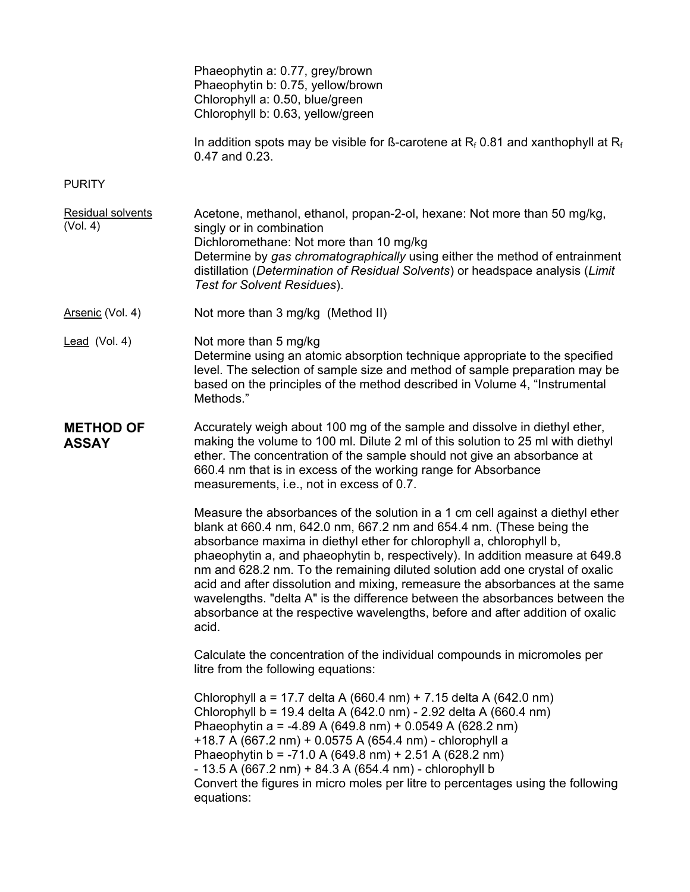|                                  | Phaeophytin a: 0.77, grey/brown<br>Phaeophytin b: 0.75, yellow/brown<br>Chlorophyll a: 0.50, blue/green<br>Chlorophyll b: 0.63, yellow/green                                                                                                                                                                                                                                                                                                                                                                                                                                                                                                              |
|----------------------------------|-----------------------------------------------------------------------------------------------------------------------------------------------------------------------------------------------------------------------------------------------------------------------------------------------------------------------------------------------------------------------------------------------------------------------------------------------------------------------------------------------------------------------------------------------------------------------------------------------------------------------------------------------------------|
|                                  | In addition spots may be visible for B-carotene at $R_f$ 0.81 and xanthophyll at $R_f$<br>0.47 and 0.23.                                                                                                                                                                                                                                                                                                                                                                                                                                                                                                                                                  |
| <b>PURITY</b>                    |                                                                                                                                                                                                                                                                                                                                                                                                                                                                                                                                                                                                                                                           |
| Residual solvents<br>(Vol. 4)    | Acetone, methanol, ethanol, propan-2-ol, hexane: Not more than 50 mg/kg,<br>singly or in combination<br>Dichloromethane: Not more than 10 mg/kg<br>Determine by gas chromatographically using either the method of entrainment<br>distillation (Determination of Residual Solvents) or headspace analysis (Limit<br>Test for Solvent Residues).                                                                                                                                                                                                                                                                                                           |
| Arsenic (Vol. 4)                 | Not more than 3 mg/kg (Method II)                                                                                                                                                                                                                                                                                                                                                                                                                                                                                                                                                                                                                         |
| Lead (Vol. 4)                    | Not more than 5 mg/kg<br>Determine using an atomic absorption technique appropriate to the specified<br>level. The selection of sample size and method of sample preparation may be<br>based on the principles of the method described in Volume 4, "Instrumental<br>Methods."                                                                                                                                                                                                                                                                                                                                                                            |
| <b>METHOD OF</b><br><b>ASSAY</b> | Accurately weigh about 100 mg of the sample and dissolve in diethyl ether,<br>making the volume to 100 ml. Dilute 2 ml of this solution to 25 ml with diethyl<br>ether. The concentration of the sample should not give an absorbance at<br>660.4 nm that is in excess of the working range for Absorbance<br>measurements, i.e., not in excess of 0.7.                                                                                                                                                                                                                                                                                                   |
|                                  | Measure the absorbances of the solution in a 1 cm cell against a diethyl ether<br>blank at 660.4 nm, 642.0 nm, 667.2 nm and 654.4 nm. (These being the<br>absorbance maxima in diethyl ether for chlorophyll a, chlorophyll b,<br>phaeophytin a, and phaeophytin b, respectively). In addition measure at 649.8<br>nm and 628.2 nm. To the remaining diluted solution add one crystal of oxalic<br>acid and after dissolution and mixing, remeasure the absorbances at the same<br>wavelengths. "delta A" is the difference between the absorbances between the<br>absorbance at the respective wavelengths, before and after addition of oxalic<br>acid. |
|                                  | Calculate the concentration of the individual compounds in micromoles per<br>litre from the following equations:                                                                                                                                                                                                                                                                                                                                                                                                                                                                                                                                          |
|                                  | Chlorophyll a = 17.7 delta A (660.4 nm) + 7.15 delta A (642.0 nm)<br>Chlorophyll b = 19.4 delta A (642.0 nm) - 2.92 delta A (660.4 nm)<br>Phaeophytin a = -4.89 A (649.8 nm) + 0.0549 A (628.2 nm)<br>+18.7 A (667.2 nm) + 0.0575 A (654.4 nm) - chlorophyll a<br>Phaeophytin b = -71.0 A (649.8 nm) + 2.51 A (628.2 nm)<br>- 13.5 A (667.2 nm) + 84.3 A (654.4 nm) - chlorophyll b<br>Convert the figures in micro moles per litre to percentages using the following<br>equations:                                                                                                                                                                      |